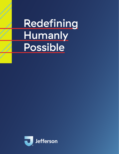# Redefining **Humanly** Possible

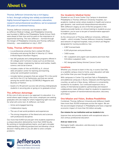# About Us

Thomas Jefferson University has a rich legacy. In fact, through unifying two widely acclaimed and highly honored legacies of innovation, education, research and professional excellence, we've surpassed 325 years of combined history.

Thomas Jefferson University was founded in 1824 as Jefferson Medical College, and Philadelphia University was founded in 1884 as the Philadelphia Textile School. Both were ahead of their time and focused on the importance of experiential learning. The new Jefferson – formed through the merger of Philadelphia University and Thomas Jefferson University – was established on July 1, 2017.

#### **Today, Thomas Jefferson University:**

- is a professional university that is ranked 5th Most Innovative and among the Best in Value by *U.S. News & World Report* (Northern Region).
- has 160 graduate and undergraduate programs offered in 10 colleges and 3 schools in areas such as architecture, business, design, engineering, fashion and textiles, health, science, and social science.
- includes a state-of-the-art 60,000 sq. ft. clinical skills simulation center for learning and teaching, using real-world patient scenarios.
- includes fashion programs that are ranked 7th in the world and 3rd in the U.S. by *Fashionista*, and that are named among the world's best by *CEOWORLD Magazine* and *Business of Fashion*.
- boasts of a 95 percent success rate among undergraduate students in securing jobs or going on to graduate school.

#### **The Jefferson Advantage**

At the core of who we are is our approach to education. In a world where rapid change is the norm, employers are seeking graduates who are ready for what's happening right now and for what will come next. At Jefferson, we foster:

- Active and engaged learning
- Collaborative inquiry
- The use of real world problems and experiences
- The strong integration of the liberal arts and sciences with professional disciplines

Our more than 8,400 full and part-time students experience a unique education delivered by more than 4,600 faculty. By working on transdisciplinary teams, you'll gain a broader understanding of differing perspectives and develop critical decision-making skills so you are able to solve complex problems.

#### **Our Academic Medical Center**

Situated on our 13-acre Center City Campus in downtown Philadelphia is Thomas Jefferson University Hospitals, our academic medical center where students in health and science gain dynamic, real-world and interprofessional education. With Jefferson's legacy as one of the first programs in the region to provide hands-on clinical training to students as your foundation, you're sure to be part of transformative approach to health education.

As the clinical arm of Thomas Jefferson University, Jefferson Health – which includes Thomas Jefferson University Hospitals and network of regional hospitals, many of which are Magnetdesignated for nursing excellence, has:

- 2,867 licensed beds
- 6,100 physicians and practitioners
- 7,400 nurses
- 40+ outpatient and urgent care locations and more than 3.8 million outpatient visits
- NCI designated Sidney Kimmel Cancer Center

#### **Locations**

Whether you choose to learn in the city, in scenic East Falls, or a satellite campus close to home, your education will take you further than you ever thought possible.

With campuses in Center City and East Falls in Philadelphia, and additional campuses in Bucks, Delaware and Montgomery counties, as well as in New Jersey, Jefferson is conveniently located for its students. Our continued expansion into a variety of international academic partnerships and research collaborations make Jefferson ideal for students to experience a global ecosystem of transformational education, discovery and impact.

#### **One Mission and Vision, Endless Possibilities**

Combined, Thomas Jefferson University and Jefferson Health have more than 30,000 employees across the region. We are the second largest employer in Philadelphia and have a regional economic impact of more than \$11 billion annually.

#### Our mission for our institution and our students is to:

Improve lives and provide students with exceptional value in 21st century professional education.

#### And our vision is to:

Reimagine health, education, and discovery to create unparalleled value.

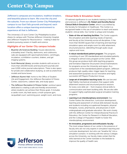Jefferson's campuses are incubators, tradition breakers, and beautiful places to learn. We cross the city and the suburbs. From our vibrant Center City Philadelphia campus to our East Falls grounds and beyond, each location offers a unique learning environment to experience all that is Jefferson.

The University's 13-acre Center City Philadelphia location shares its campus with Thomas Jefferson University Hospital and Jefferson Hospital for Neuroscience – making it ideal for students pursuing careers in health and science.

#### **Highlights of our Center City campus include:**

- Bluemle Life Sciences Building: houses laboratories, a biosafety level-3 facility, darkrooms, and coldrooms. Labs are equipped with spectrophotometers, centrifuges, incubators, scintillation counters, shakers, and gel imaging systems.
- Scott Memorial Library: provides students with access to more than 220,000 books and bound print journals and over 6,000 online journal subscriptions. There is also space for private and collaborative studying, as well as anatomical models and bone boxes.
- Jefferson Alumni Hall: home to the Office of Student Life and Engagement, the Jefferson Recreation & Fitness Center, classrooms, cadaver labs, and study space.
- The Jefferson Recreation & Fitness Center: workout space dedicated to creating a safe and friendly environment where students can achieve their fitness goals. It includes a cardio room, dry heat sauna, a multi-purpose gym, racquetball court, swimming pool, weight room, and more.

#### **Clinical Skills & Simulation Center**

Of national significance to our students training in the health and sciences is Jefferson's Dr. Robert and Dorothy Rector Clinical Skills & Simulation Center, which is accredited by the Society for Simulation in Healthcare. This Center is a recognized leader in the use of simulation to teach and assess students' clinical skills. Our Center is unique and includes:

- State-of-the-art teaching facilities: The Center supports the simulation and skills teaching needs of learners and faculty at the University across all disciplines. It has more than 60,000 square feet of learning and teaching/ simulation space and ample room for skills attainment, structured practice, debriefing through audio visual capture and more.
- A robust standardized patient program: This program, consisting of over 130 standardized and simulated patients, is integral to almost every program at the Center. With this group we produce both skills teaching programs and formative Objective Structured Clinical Examinations for programs across the University and region. As a component of the standardized patient program, Jefferson produces high-quality video-trigger tapes for teaching and assessment purposes via our innovative and highly successful Jeff Players Production Group.
- Large set of simulation teaching tools: We use low and high fidelity mechanical simulators that support skills attainment sessions and structured practice sessions for every core skills set – from invasive clinical skills to communication and team building skills. We are also able to support highly sophisticated surgical simulation training programs.
- Learning in an interdisciplinary environment: Our Center fosters the interaction, curriculum development, teaching and assessment of clinical skills between faculty and students including occupational therapists, physical therapists, nurses, pharmacists, and physicians in both undergraduate and graduate education. We work closely with the Jefferson Center for Interprofessional Practice & Education, the Center for Research in Medical Education, and the College of Population Health to foster this interdisciplinary environment.
- An innovative, progressive and enthusiastic faculty: The most unique feature of our center is the presence of faculty who are not only experts in simulation teaching and curricular development, but who can "breathe life" into a simulation scenario. In working with the various Colleges across the University, our faculty make certain that the skills learned at the Center translate to the bedside to improve the quality of health care.

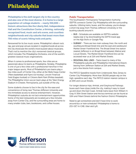# Philadelphia

Philadelphia is the sixth largest city in the country and also one of the most diverse. It is home to a large population of college students – nearly 350,000 – historic attractions like the Liberty Bell, Independence Hall and the Constitution Center, a thriving, nationally recognized food, music and arts scene, and countless neighborhoods and city suburbs that boast more than 700 miles of scenic hiking trails and parks.

Renowned for its live music scene, Philadelphia's vibrant rock, rap, jazz and pop venues located in neighborhoods all across the city showcase the world's most buzzed-about musicians. That's not to mention the city's renowned classical groups, which includes The Philadelphia Orchestra, one of the world's greatest classical music organizations.

When it comes to professional sports, few cities are as passionate about its teams as Philadelphia. Notably, Philadelphia is one of just a few cities with a professional franchise in five major league sports. Most of Philadelphia's pro teams play a few miles south of Center City, either at the Wells Fargo Center (76ers basketball and Flyers ice hockey), Lincoln Financial Field (Eagles football) or Citizens Bank Park (Phillies baseball). The Philadelphia Union soccer team plays at the Talen Energy Stadium in Chester, Pennsylvania, just outside of the city.

Some students choose to live in the city for the ease and convenience of living near Thomas Jefferson University and the immediate access to diverse entertainment. However, Philadelphia's suburbs do not lack entertainment opportunities. Some of the best restaurants are located just a few minutes away from Center City, and the surrounding areas are home to many smaller clubs, bars, bookstores, and coffee houses.

#### **Public Transportation**

The Southeastern Pennsylvania Transportation Authority (SEPTA) connects Center City Philadelphia with the surrounding suburbs. Utilizing trains, buses, and the subway, you're always a short trip away from Thomas Jefferson University or the bustling suburbs around it.

- BUS Schedules are available on SEPTA's website (septa.org) or by downloading the SEPTA travel app on the App Store or Google Play.
- SUBWAY There are two main subway lines: the north and southbound Broad Street line and the east and westbound Market Street-Frankford line. The Broad Street line station nearest Jefferson is on Broad Street between Walnut and Locust Streets. The Market Street-Frankford line can be accessed near us at 11th and Market Streets.
- REGIONAL RAIL LINES Trains travel to many of the Philadelphia suburbs and Philadelphia International Airport, leaving from Jefferson Station at 11th and Market Streets, just a few blocks from campus.

The PATCO Speedline travels from Lindenwold, New Jersey to Center City Philadelphia. More than 38,000 people rely on the high-speedline each day. The PATCO station nearest campus is at 10th and Locust Streets.

For longer distance trips, Amtrak, and Greyhound/Trailways buses each have stops inside the city, making it easy to travel up and down the East Coast. Amtrak trains leave from William H. Gray III 30th Street Station and the bus terminal can be found at 10th and Filbert Streets behind the Fashion District Philadelphia.

Need to get somewhere and don't have time to work around bus or train schedules? Philadelphia is home to 215-GET-A-CAB, Uber and Lyft.

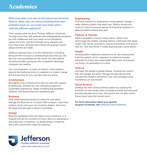# Academics

What if we didn't just rely on the typical way forward? What if, rather than the vertical thinking that takes problems head-on, we could solve them with a radically different approach?

That's exactly what we do at Thomas Jefferson University. Through more than 160 graduate and undergraduate programs, you will collaborate with your peers across disciplines, redraw the limits, and slice through every standard and norm that exists. Because that's where the greatest human advancements are made.

Jefferson believes that it is at the intersection of thinking, doing and the inclusion of varied perspectives that you will discover new possibilities for the world. You will redefine humanly possible, giving you the competitive advantage employers are seeking.

Our core programs—or areas of interest—drive students beyond the traditional limits of academics to inspire change and test just how far you can take what you know.

#### **Architecture**

Reimagine a city's infrastructure side-by-side with industry professionals. Develop the next software program for sustainable engineering. Shape a building that facilitates wellness. And build tomorrow's breakthroughs.

#### **Business**

Help small businesses build successful 10-year plans. Manage the finances for a Fortune 500 company. Learn how analytics factor into your own business dreams. And close the deals that will open a future of possibility.

#### **Design**

Build the workspace that will inspire a new workforce, or a hospital with all the comforts of home. Work on real projects and make real connections—at global design companies. And craft a world that's ready for anything.

#### **Engineering**

Find new solutions to make green homes greener. Design a water-delivery system that saves lives. Reduce production costs for critical consumer goods. And develop solutions to global problems before they start.

#### **Fashion & Textiles**

Make sustainable in season, every season. Weave new technology into textiles. Develop fashion collections that speak louder than words, and inform cultural movements. And ensure that the "next new thing" is unlike anything that's come before.

#### **Health**

Develop better healthcare solutions for at-risk communities. Push the patient-centric approach to medicine forward. Advocate for those who need health allies most. And protect our future, for generations to come.

#### **Science**

Decrease the spread of global disease. Develop the science that will reshape the world. Manage the laboratories that will lead the charge in preventive care. And reimagine what humankind can accomplish.

#### **Social Science**

Develop the next content delivery system by studying the evolution of new media. Spot sociological trends that will guide business decades from now. And ensure that our data-driven future never loses the human touch.

For more information about your specific program of interest, visit Jefferson.edu/Academics.

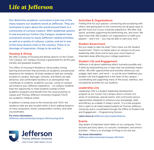# Life at Jefferson

Our distinctive academic curriculum is just one of the many reasons our students enroll at Jefferson. They are motivated to learn about the world around them in a community of curious creators. With residential options in and around our Center City Campus, students have convenient access to many Jefferson-related activities, as well as a variety of cultures, cuisine, and art in one of the most diverse cities in the country. There is no shortage of inspiration, things to do and fun.

#### **Housing & Dining**

We offer a variety of housing and dining options on the Center City Campus. On-campus housing is guaranteed for all first year transfer and graduate students.

The Office of Housing & Residence Life provides a living, learning environment that promotes an academic and personal experience for residents. All three residence halls are centrally located on campus. Barringer, Orlowitz, and Martin are safe, attractive, and comfortable facilities in an atmosphere that contributes to students' academic success. Living on campus will enhance your Jefferson experience – on campus residents have the opportunity to meet students outside of their academic programs and benefit from the close proximity to classes and Thomas Jefferson University Hospital (TJUH), our academic medical center.

In addition to being close to the University and TJUH, the residence halls are also located within a short walking distance of many restaurants, stores, transportation centers, and other city landmarks.

For more information: Jefferson.edu/university/campus-life/housing.html



#### **Activities & Organizations**

Finding time for your passion, connecting and socializing with others, and giving back to the community are all great ways to get the most out of your university experience. We offer club sports, activities supporting the performing arts, and more. We have more than 160 student-run organizations to fulfill your passion – and if not – you may be able to start your own!

#### **Student Government**

Are you ready to take the lead? Then check out the Student Government. There's no better place on campus to let your leadership skills shine and to have your voice heard on important areas affecting your college experience.

#### **Student Life and Engagement**

Jefferson is all about redefining what's humanly possible and it starts by empowering you in ways that can positively impact others. We offer opportunities and activities where you can engage, lead, learn, and serve – or just be your healthiest you. Student Life and Engagement is the heart of the campus – coordinating and supporting many of the social, wellness, and recreational activities for our students.

#### **Leadership Live**

Leadership LIVE is a student leadership development program at our Center City Campus which consists of a series of workshops, special events, and community service opportunities designed to enhance your knowledge, skills, and efficacy as a leader in today's world. It is a free program that is open to all matriculated students at Thomas Jefferson University and is coordinated through the Office of Student Life and Engagement – Programming Division.

#### Learn more at Jefferson.edu/LeadershipLive

#### **Events**

Stay aware of important event dates on our campuses. From lectures and story slams, to concerts, fundraisers, and service activities – there is no shortage of things to do and see.

For more information: Jefferson.edu/university/campus-life.html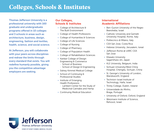### Colleges, Schools & Institutes

Thomas Jefferson University is a professional university with 160 graduate and undergraduate programs offered in 10 colleges and 3 schools in areas such as architecture, business, design, engineering, fashion and textiles, health, science, and social science.

At Jefferson, you will collaborate with your peers across disciplines and redraw the limits through every standard that exists. You will redefine humanly possible, giving you the competitive advantage employers are seeking.

#### **Our Colleges, Schools & Institutes**

- College of Architecture & The Built Environment
- College of Health Professions
- College of Humanities & Sciences
- College of Life Sciences
- College of Nursing
- College of Pharmacy
- College of Population Health
- College of Rehabilitation Sciences
- Kanbar College of Design Engineering & Commerce - School of Business
	- School of Design & Engineering
- Sidney Kimmel Medical College
- School of Continuing & Professional Studies
- Institute of Emerging Health Professions
	- Lambert Center for the Study of Medicinal Cannabis and Hemp
- Continuing Medical Education

#### **International Academic Affiliations**

- Ben-Gurion University of the Negev Beersheba, Israel
- Catholic University and Gemelli University Hospital, Rome, Italy
- Politecnico di Milano, Italy
- CEA San Jose, Costa Rica
- Hebrew University, Jerusalem, Isreal
- Jefferson Rome @ UARC CEA San Jose
- Kitasato University Sagamihara-shi, Japan
- KLE University, Belgaum, India
- Sichuan University/West China Hospital, Chengdu, Sichuan, China
- St. George's University of London, Wandsworth, England
- Technion-Israel Institute of Technology, Haifa, Israel
- Trinity College, Dublin, Ireland
- Universidade do Minho, Braga, Portugal
- University of Oxford, Oxford, England
- Weizmann Institute of Science, Rehovot, Israel

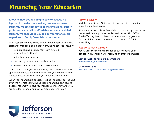# Financing Your Education

Knowing how you're going to pay for college is a big step in the decision-making process for many students. We are committed to making a high-quality, professional education affordable for every qualified student. We encourage you to apply for financial aid, regardless of family financial circumstances.

Each year, around two-thirds of our students receive financial assistance through a combination of funding sources, including:

- institutional and institutionally-administered scholarships and loans
- federal and state grants
- work-study programs and assistantships
- federal, state, institutional and private loans

Our staff will guide you through every step of the financial aid application process, working closely with you to identify all of the resources available to help you meet educational costs.

When your financial aid package has been finalized, our job isn't over. We will help you with budgeting, financial planning, and debt management to help you manage your money while you are enrolled in school and as you prepare for the future.

#### **How to Apply**

Visit the Financial Aid Office website for specific information about the application process.

All students who apply for financial aid must start by completing the federal Free Application for Federal Student Aid (FAFSA). The FAFSA may be completed online at www.fafsa.gov after October 1. Please be sure to use school code of 013549 when filing.

#### **Ready to Get Started?**

You will receive more information about financing your education at Jefferson after receiving an offer of admission.

#### Visit our website for more information: Jefferson.edu/FinancialAid

#### Or contact us at: 215-955-2867 | financial.aid@jefferson.edu

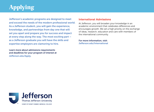# Applying

Jefferson's academic programs are designed to meet and exceed the needs of the modern professional world. As a Jefferson student, you will gain the experience, knowledge, and partnerships from day one that will set you apart and prepare you for success and impact at every step along the way. The most exciting part – as a Jefferson graduate you will have the skills and expertise employers are clamoring to hire.

Learn more about admissions requirements and deadlines for your program of interest at Jefferson.edu/Apply.

#### **International Admissions**

At Jefferson, you will broaden your knowledge in an academic environment that celebrates differences and encourages growth. We set a high priority on the exchange of ideas, research, education and care with members of the international community.

For more information, visit: Jefferson.edu/International